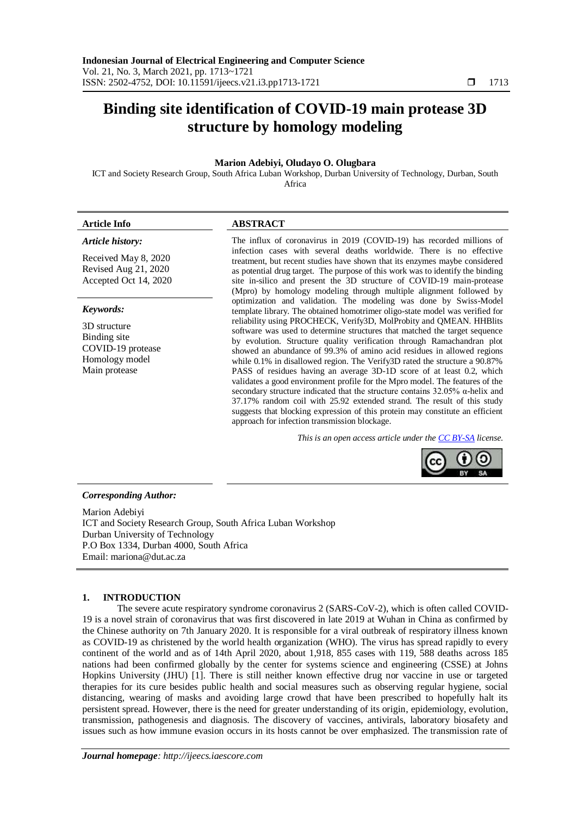# **Binding site identification of COVID-19 main protease 3D structure by homology modeling**

# **Marion Adebiyi, Oludayo O. Olugbara**

ICT and Society Research Group, South Africa Luban Workshop, Durban University of Technology, Durban, South Africa

#### *Article history:*

Received May 8, 2020 Revised Aug 21, 2020 Accepted Oct 14, 2020

#### *Keywords:*

3D structure Binding site COVID-19 protease Homology model Main protease

# **Article Info ABSTRACT**

The influx of coronavirus in 2019 (COVID-19) has recorded millions of infection cases with several deaths worldwide. There is no effective treatment, but recent studies have shown that its enzymes maybe considered as potential drug target. The purpose of this work was to identify the binding site in-silico and present the 3D structure of COVID-19 main-protease (Mpro) by homology modeling through multiple alignment followed by optimization and validation. The modeling was done by Swiss-Model template library. The obtained homotrimer oligo-state model was verified for reliability using PROCHECK, Verify3D, MolProbity and QMEAN. HHBlits software was used to determine structures that matched the target sequence by evolution. Structure quality verification through Ramachandran plot showed an abundance of 99.3% of amino acid residues in allowed regions while 0.1% in disallowed region. The Verify3D rated the structure a 90.87% PASS of residues having an average 3D-1D score of at least 0.2, which validates a good environment profile for the Mpro model. The features of the secondary structure indicated that the structure contains  $32.05\%$  α-helix and 37.17% random coil with 25.92 extended strand. The result of this study suggests that blocking expression of this protein may constitute an efficient approach for infection transmission blockage.

*This is an open access article under the [CC BY-SA](https://creativecommons.org/licenses/by-sa/4.0/) license.*



### *Corresponding Author:*

Marion Adebiyi ICT and Society Research Group, South Africa Luban Workshop Durban University of Technology P.O Box 1334, Durban 4000, South Africa Email: mariona@dut.ac.za

# **1. INTRODUCTION**

The severe acute respiratory syndrome coronavirus 2 (SARS-CoV-2), which is often called COVID-19 is a novel strain of coronavirus that was first discovered in late 2019 at Wuhan in China as confirmed by the Chinese authority on 7th January 2020. It is responsible for a viral outbreak of respiratory illness known as COVID-19 as christened by the world health organization (WHO). The virus has spread rapidly to every continent of the world and as of 14th April 2020, about 1,918, 855 cases with 119, 588 deaths across 185 nations had been confirmed globally by the center for systems science and engineering (CSSE) at Johns Hopkins University (JHU) [1]. There is still neither known effective drug nor vaccine in use or targeted therapies for its cure besides public health and social measures such as observing regular hygiene, social distancing, wearing of masks and avoiding large crowd that have been prescribed to hopefully halt its persistent spread. However, there is the need for greater understanding of its origin, epidemiology, evolution, transmission, pathogenesis and diagnosis. The discovery of vaccines, antivirals, laboratory biosafety and issues such as how immune evasion occurs in its hosts cannot be over emphasized. The transmission rate of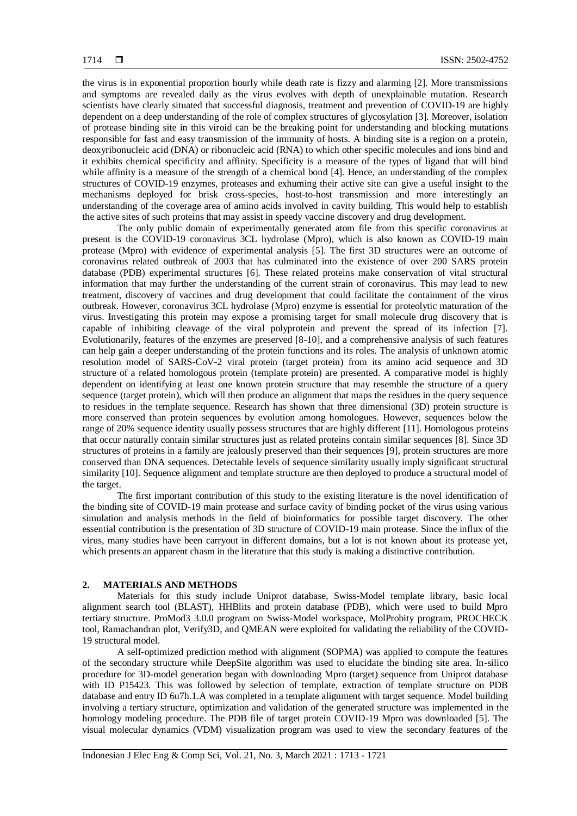the virus is in exponential proportion hourly while death rate is fizzy and alarming [2]. More transmissions and symptoms are revealed daily as the virus evolves with depth of unexplainable mutation. Research scientists have clearly situated that successful diagnosis, treatment and prevention of COVID-19 are highly dependent on a deep understanding of the role of complex structures of glycosylation [3]. Moreover, isolation of protease binding site in this viroid can be the breaking point for understanding and blocking mutations responsible for fast and easy transmission of the immunity of hosts. A binding site is a region on a protein, deoxyribonucleic acid (DNA) or ribonucleic acid (RNA) to which other specific molecules and ions bind and it exhibits chemical specificity and affinity. Specificity is a measure of the types of ligand that will bind while affinity is a measure of the strength of a chemical bond [4]. Hence, an understanding of the complex structures of COVID-19 enzymes, proteases and exhuming their active site can give a useful insight to the mechanisms deployed for brisk cross-species, host-to-host transmission and more interestingly an understanding of the coverage area of amino acids involved in cavity building. This would help to establish the active sites of such proteins that may assist in speedy vaccine discovery and drug development.

The only public domain of experimentally generated atom file from this specific coronavirus at present is the COVID-19 coronavirus 3CL hydrolase (Mpro), which is also known as COVID-19 main protease (Mpro) with evidence of experimental analysis [5]. The first 3D structures were an outcome of coronavirus related outbreak of 2003 that has culminated into the existence of over 200 SARS protein database (PDB) experimental structures [6]. These related proteins make conservation of vital structural information that may further the understanding of the current strain of coronavirus. This may lead to new treatment, discovery of vaccines and drug development that could facilitate the containment of the virus outbreak. However, coronavirus 3CL hydrolase (Mpro) enzyme is essential for proteolytic maturation of the virus. Investigating this protein may expose a promising target for small molecule drug discovery that is capable of inhibiting cleavage of the viral polyprotein and prevent the spread of its infection [7]. Evolutionarily, features of the enzymes are preserved [8-10], and a comprehensive analysis of such features can help gain a deeper understanding of the protein functions and its roles. The analysis of unknown atomic resolution model of SARS-CoV-2 viral protein (target protein) from its amino acid sequence and 3D structure of a related homologous protein (template protein) are presented. A comparative model is highly dependent on identifying at least one known protein structure that may resemble the structure of a query sequence (target protein), which will then produce an alignment that maps the residues in the query sequence to residues in the template sequence. Research has shown that three dimensional (3D) protein structure is more conserved than protein sequences by evolution among homologues. However, sequences below the range of 20% sequence identity usually possess structures that are highly different [11]. Homologous proteins that occur naturally contain similar structures just as related proteins contain similar sequences [8]. Since 3D structures of proteins in a family are jealously preserved than their sequences [9], protein structures are more conserved than DNA sequences. Detectable levels of sequence similarity usually imply significant structural similarity [10]. Sequence alignment and template structure are then deployed to produce a structural model of the target.

The first important contribution of this study to the existing literature is the novel identification of the binding site of COVID-19 main protease and surface cavity of binding pocket of the virus using various simulation and analysis methods in the field of bioinformatics for possible target discovery. The other essential contribution is the presentation of 3D structure of COVID-19 main protease. Since the influx of the virus, many studies have been carryout in different domains, but a lot is not known about its protease yet, which presents an apparent chasm in the literature that this study is making a distinctive contribution.

#### **2. MATERIALS AND METHODS**

Materials for this study include Uniprot database, Swiss-Model template library, basic local alignment search tool (BLAST), HHBlits and protein database (PDB), which were used to build Mpro tertiary structure. ProMod3 3.0.0 program on Swiss-Model workspace, MolProbity program, PROCHECK tool, Ramachandran plot, Verify3D, and QMEAN were exploited for validating the reliability of the COVID-19 structural model.

A self-optimized prediction method with alignment (SOPMA) was applied to compute the features of the secondary structure while DeepSite algorithm was used to elucidate the binding site area. In-silico procedure for 3D-model generation began with downloading Mpro (target) sequence from Uniprot database with ID P15423. This was followed by selection of template, extraction of template structure on PDB database and entry ID 6u7h.1.A was completed in a template alignment with target sequence. Model building involving a tertiary structure, optimization and validation of the generated structure was implemented in the homology modeling procedure. The PDB file of target protein COVID-19 Mpro was downloaded [5]. The visual molecular dynamics (VDM) visualization program was used to view the secondary features of the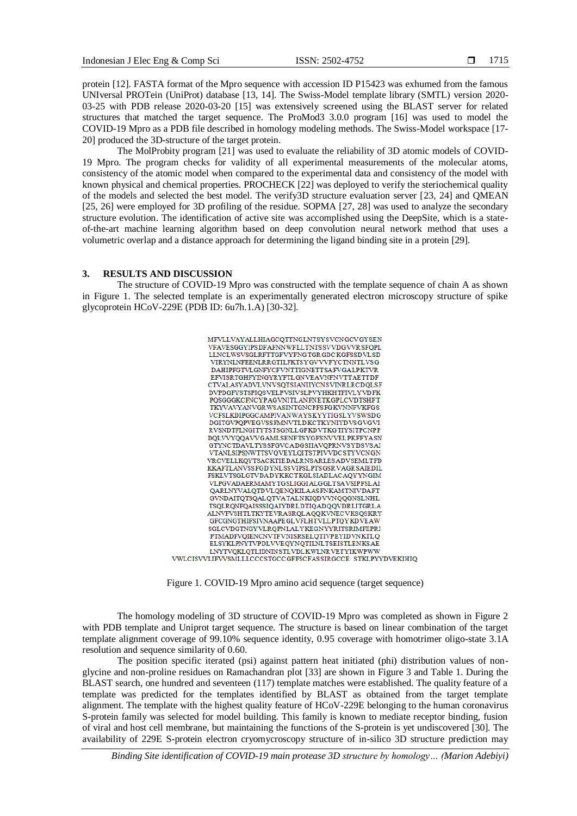protein [12]. FASTA format of the Mpro sequence with accession ID P15423 was exhumed from the famous UNIversal PROTein (UniProt) database [13, 14]. The Swiss-Model template library (SMTL) version 2020- 03-25 with PDB release 2020-03-20 [15] was extensively screened using the BLAST server for related structures that matched the target sequence. The ProMod3 3.0.0 program [16] was used to model the COVID-19 Mpro as a PDB file described in homology modeling methods. The Swiss-Model workspace [17- 20] produced the 3D-structure of the target protein.

The MolProbity program [21] was used to evaluate the reliability of 3D atomic models of COVID-19 Mpro. The program checks for validity of all experimental measurements of the molecular atoms, consistency of the atomic model when compared to the experimental data and consistency of the model with known physical and chemical properties. PROCHECK [22] was deployed to verify the steriochemical quality of the models and selected the best model. The verify3D structure evaluation server [23, 24] and QMEAN [25, 26] were employed for 3D profiling of the residue. SOPMA [27, 28] was used to analyze the secondary structure evolution. The identification of active site was accomplished using the DeepSite, which is a stateof-the-art machine learning algorithm based on deep convolution neural network method that uses a volumetric overlap and a distance approach for determining the ligand binding site in a protein [29].

# **3. RESULTS AND DISCUSSION**

The structure of COVID-19 Mpro was constructed with the template sequence of chain A as shown in Figure 1. The selected template is an experimentally generated electron microscopy structure of spike glycoprotein HCoV-229E (PDB ID: 6u7h.1.A) [30-32].



Figure 1. COVID-19 Mpro amino acid sequence (target sequence)

The homology modeling of 3D structure of COVID-19 Mpro was completed as shown in Figure 2 with PDB template and Uniprot target sequence. The structure is based on linear combination of the target template alignment coverage of 99.10% sequence identity, 0.95 coverage with homotrimer oligo-state 3.1A resolution and sequence similarity of 0.60.

The position specific iterated (psi) against pattern heat initiated (phi) distribution values of nonglycine and non-proline residues on Ramachandran plot [33] are shown in Figure 3 and Table 1. During the BLAST search, one hundred and seventeen (117) template matches were established. The quality feature of a template was predicted for the templates identified by BLAST as obtained from the target template alignment. The template with the highest quality feature of HCoV-229E belonging to the human coronavirus S-protein family was selected for model building. This family is known to mediate receptor binding, fusion of viral and host cell membrane, but maintaining the functions of the S-protein is yet undiscovered [30]. The availability of 229E S-protein electron cryomycroscopy structure of in-silico 3D structure prediction may

*Binding Site identification of COVID-19 main protease 3D structure by homology… (Marion Adebiyi)*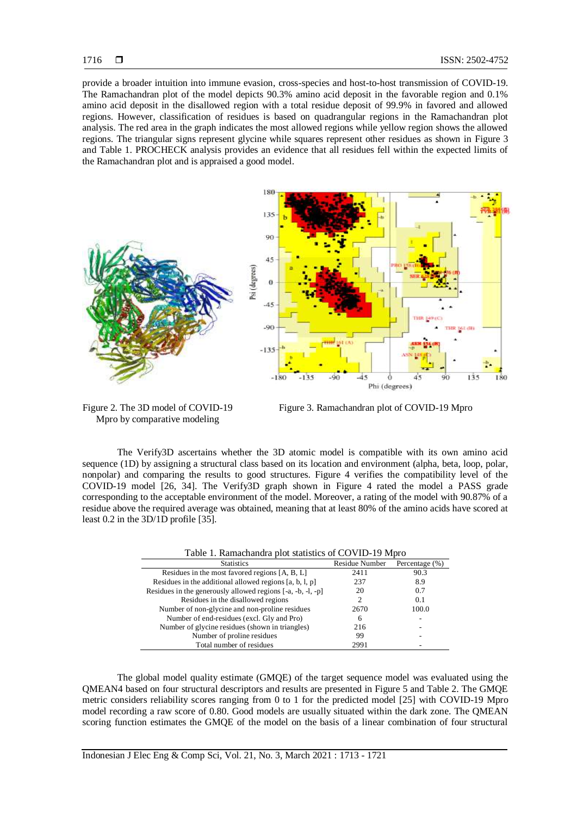provide a broader intuition into immune evasion, cross-species and host-to-host transmission of COVID-19. The Ramachandran plot of the model depicts 90.3% amino acid deposit in the favorable region and 0.1% amino acid deposit in the disallowed region with a total residue deposit of 99.9% in favored and allowed regions. However, classification of residues is based on quadrangular regions in the Ramachandran plot analysis. The red area in the graph indicates the most allowed regions while yellow region shows the allowed regions. The triangular signs represent glycine while squares represent other residues as shown in Figure 3 and Table 1. PROCHECK analysis provides an evidence that all residues fell within the expected limits of the Ramachandran plot and is appraised a good model.



Figure 2. The 3D model of COVID-19 Mpro by comparative modeling

Figure 3. Ramachandran plot of COVID-19 Mpro

The Verify3D ascertains whether the 3D atomic model is compatible with its own amino acid sequence (1D) by assigning a structural class based on its location and environment (alpha, beta, loop, polar, nonpolar) and comparing the results to good structures. Figure 4 verifies the compatibility level of the COVID-19 model [26, 34]. The Verify3D graph shown in Figure 4 rated the model a PASS grade corresponding to the acceptable environment of the model. Moreover, a rating of the model with 90.87% of a residue above the required average was obtained, meaning that at least 80% of the amino acids have scored at least 0.2 in the 3D/1D profile [35].

| Table 1. Ramachandra plot statistics of COVID-19 Mpro       |                |                |  |
|-------------------------------------------------------------|----------------|----------------|--|
| <b>Statistics</b>                                           | Residue Number | Percentage (%) |  |
| Residues in the most favored regions [A, B, L]              | 2411           | 90.3           |  |
| Residues in the additional allowed regions $[a, b, l, p]$   | 237            | 8.9            |  |
| Residues in the generously allowed regions [-a, -b, -l, -p] | 20             | 0.7            |  |
| Residues in the disallowed regions                          | 2              | 0.1            |  |
| Number of non-glycine and non-proline residues              | 2670           | 100.0          |  |
| Number of end-residues (excl. Gly and Pro)                  | 6              |                |  |
| Number of glycine residues (shown in triangles)             | 216            |                |  |
| Number of proline residues                                  | 99             |                |  |
| Total number of residues                                    | 2991           |                |  |

Table 1. Ramachandra plot statistics of COVID-19 Mpro

The global model quality estimate (GMQE) of the target sequence model was evaluated using the QMEAN4 based on four structural descriptors and results are presented in Figure 5 and Table 2. The GMQE metric considers reliability scores ranging from 0 to 1 for the predicted model [25] with COVID-19 Mpro model recording a raw score of 0.80. Good models are usually situated within the dark zone. The QMEAN scoring function estimates the GMQE of the model on the basis of a linear combination of four structural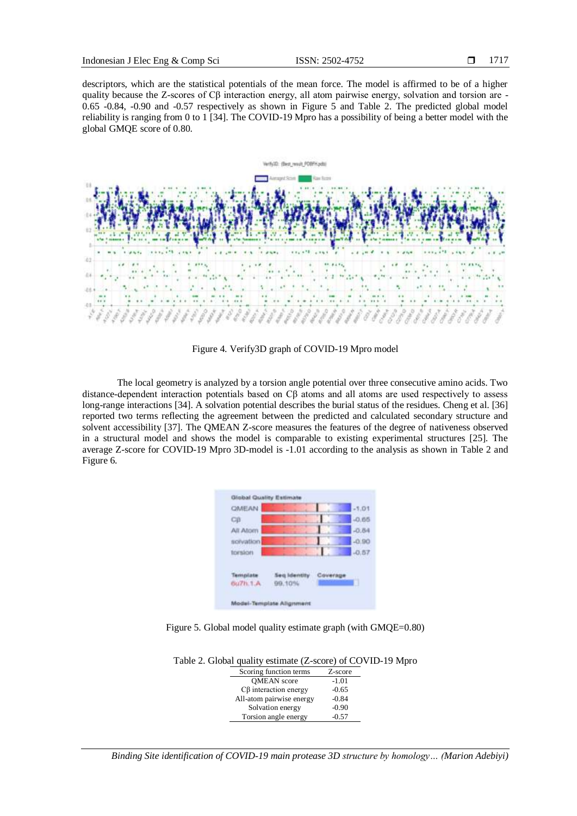descriptors, which are the statistical potentials of the mean force. The model is affirmed to be of a higher quality because the Z-scores of Cβ interaction energy, all atom pairwise energy, solvation and torsion are - 0.65 -0.84, -0.90 and -0.57 respectively as shown in Figure 5 and Table 2. The predicted global model reliability is ranging from 0 to 1 [34]. The COVID-19 Mpro has a possibility of being a better model with the global GMQE score of 0.80.



Figure 4. Verify3D graph of COVID-19 Mpro model

The local geometry is analyzed by a torsion angle potential over three consecutive amino acids. Two distance-dependent interaction potentials based on Cβ atoms and all atoms are used respectively to assess long-range interactions [34]. A solvation potential describes the burial status of the residues. Cheng et al. [36] reported two terms reflecting the agreement between the predicted and calculated secondary structure and solvent accessibility [37]. The QMEAN Z-score measures the features of the degree of nativeness observed in a structural model and shows the model is comparable to existing experimental structures [25]. The average Z-score for COVID-19 Mpro 3D-model is -1.01 according to the analysis as shown in Table 2 and Figure 6.

| <b>GMEAN</b> |              |          | $-1.01$ |
|--------------|--------------|----------|---------|
| CB           |              |          | $-0.65$ |
| All Atom     |              |          | $-0.84$ |
| solvation    |              |          | $-0.90$ |
| torsion      |              |          | $-0.57$ |
|              |              |          |         |
|              |              |          |         |
| Template     | Seg Identity | Coverage |         |

Figure 5. Global model quality estimate graph (with GMQE=0.80)

| ble 2. Global quality estimate (Z-score) of COVID- |         |  |
|----------------------------------------------------|---------|--|
| Scoring function terms                             | Z-score |  |
| <b>OMEAN</b> score                                 | $-1.01$ |  |
| $C\beta$ interaction energy                        | $-0.65$ |  |
| All-atom pairwise energy                           | $-0.84$ |  |
| Solvation energy                                   | $-0.90$ |  |
| Torsion angle energy                               | $-0.57$ |  |

Table 2. Global quality estimate (Z-score) of COVID-19 Mpro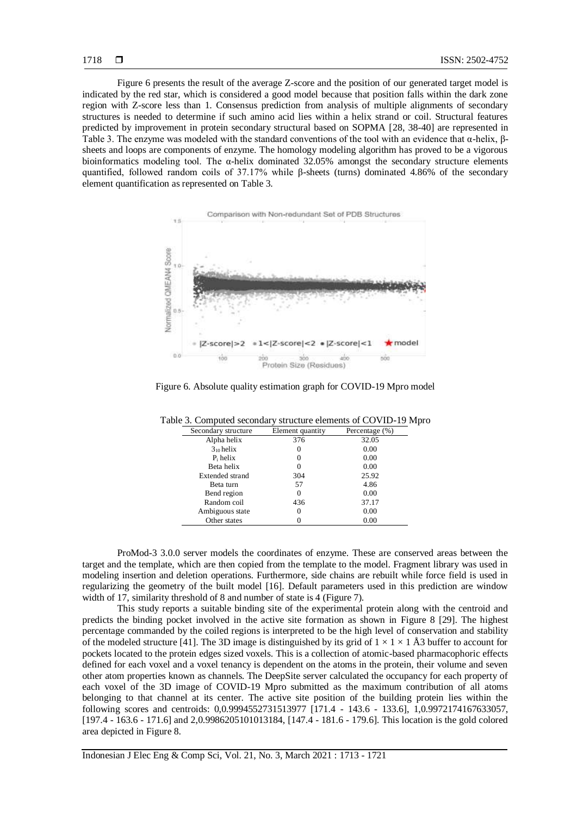Figure 6 presents the result of the average Z-score and the position of our generated target model is indicated by the red star, which is considered a good model because that position falls within the dark zone region with Z-score less than 1. Consensus prediction from analysis of multiple alignments of secondary structures is needed to determine if such amino acid lies within a helix strand or coil. Structural features predicted by improvement in protein secondary structural based on SOPMA [28, 38-40] are represented in Table 3. The enzyme was modeled with the standard conventions of the tool with an evidence that α-helix, βsheets and loops are components of enzyme. The homology modeling algorithm has proved to be a vigorous bioinformatics modeling tool. The  $\alpha$ -helix dominated 32.05% amongst the secondary structure elements quantified, followed random coils of 37.17% while β-sheets (turns) dominated 4.86% of the secondary element quantification as represented on Table 3.



Figure 6. Absolute quality estimation graph for COVID-19 Mpro model

| Secondary structure    | Element quantity | Percentage (%) |
|------------------------|------------------|----------------|
| Alpha helix            | 376              | 32.05          |
| $3_{10}$ helix         | 0                | 0.00           |
| $P_i$ helix            | 0                | 0.00           |
| Beta helix             | $\left( \right)$ | 0.00           |
| <b>Extended strand</b> | 304              | 25.92          |
| Beta turn              | 57               | 4.86           |
| Bend region            | 0                | 0.00           |
| Random coil            | 436              | 37.17          |
| Ambiguous state        | 0                | 0.00           |
| Other states           |                  | 0.00           |

Table 3. Computed secondary structure elements of COVID-19 Mpro

ProMod-3 3.0.0 server models the coordinates of enzyme. These are conserved areas between the target and the template, which are then copied from the template to the model. Fragment library was used in modeling insertion and deletion operations. Furthermore, side chains are rebuilt while force field is used in regularizing the geometry of the built model [16]. Default parameters used in this prediction are window width of 17, similarity threshold of 8 and number of state is 4 (Figure 7).

This study reports a suitable binding site of the experimental protein along with the centroid and predicts the binding pocket involved in the active site formation as shown in Figure 8 [29]. The highest percentage commanded by the coiled regions is interpreted to be the high level of conservation and stability of the modeled structure [41]. The 3D image is distinguished by its grid of  $1 \times 1 \times 1$  Å3 buffer to account for pockets located to the protein edges sized voxels. This is a collection of atomic-based pharmacophoric effects defined for each voxel and a voxel tenancy is dependent on the atoms in the protein, their volume and seven other atom properties known as channels. The DeepSite server calculated the occupancy for each property of each voxel of the 3D image of COVID-19 Mpro submitted as the maximum contribution of all atoms belonging to that channel at its center. The active site position of the building protein lies within the following scores and centroids: 0,0.9994552731513977 [171.4 - 143.6 - 133.6], 1,0.9972174167633057, [197.4 - 163.6 - 171.6] and 2,0.9986205101013184, [147.4 - 181.6 - 179.6]. This location is the gold colored area depicted in Figure 8.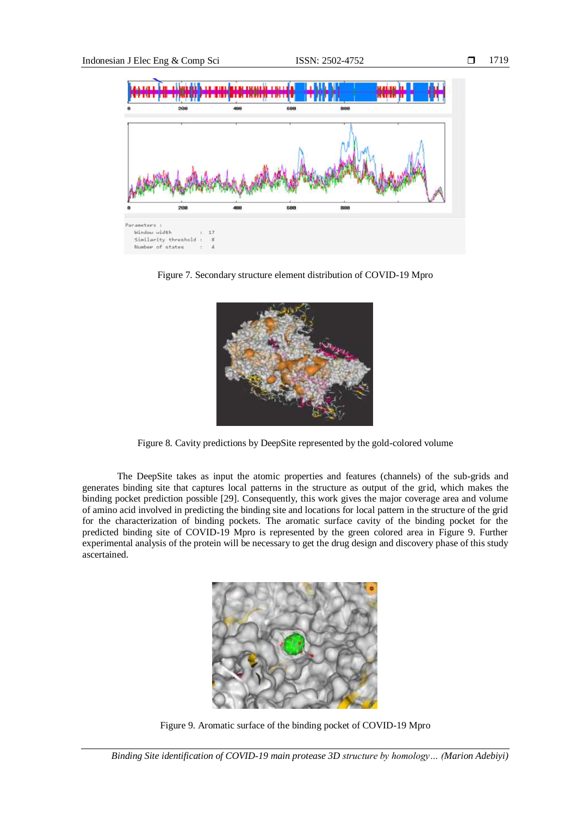

Figure 7. Secondary structure element distribution of COVID-19 Mpro



Figure 8. Cavity predictions by DeepSite represented by the gold-colored volume

The DeepSite takes as input the atomic properties and features (channels) of the sub-grids and generates binding site that captures local patterns in the structure as output of the grid, which makes the binding pocket prediction possible [29]. Consequently, this work gives the major coverage area and volume of amino acid involved in predicting the binding site and locations for local pattern in the structure of the grid for the characterization of binding pockets. The aromatic surface cavity of the binding pocket for the predicted binding site of COVID-19 Mpro is represented by the green colored area in Figure 9. Further experimental analysis of the protein will be necessary to get the drug design and discovery phase of this study ascertained.



Figure 9. Aromatic surface of the binding pocket of COVID-19 Mpro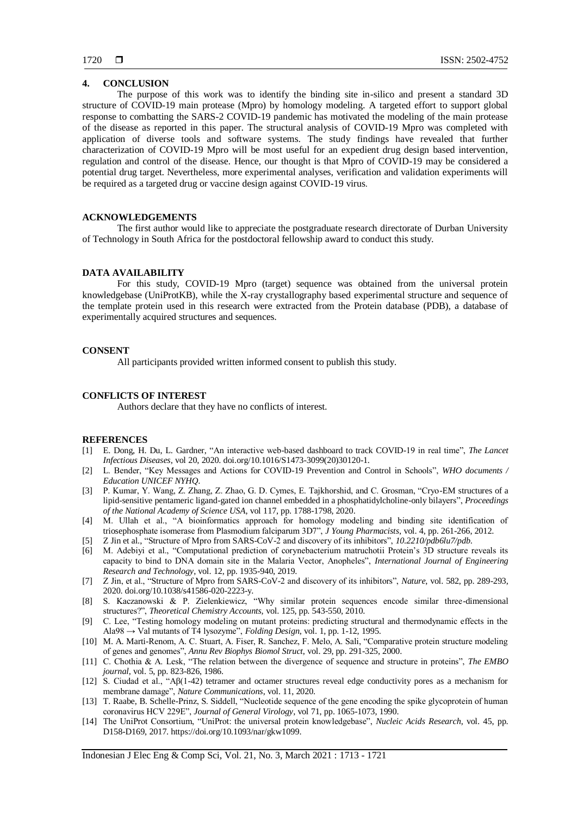# **4. CONCLUSION**

The purpose of this work was to identify the binding site in-silico and present a standard 3D structure of COVID-19 main protease (Mpro) by homology modeling. A targeted effort to support global response to combatting the SARS-2 COVID-19 pandemic has motivated the modeling of the main protease of the disease as reported in this paper. The structural analysis of COVID-19 Mpro was completed with application of diverse tools and software systems. The study findings have revealed that further characterization of COVID-19 Mpro will be most useful for an expedient drug design based intervention, regulation and control of the disease. Hence, our thought is that Mpro of COVID-19 may be considered a potential drug target. Nevertheless, more experimental analyses, verification and validation experiments will be required as a targeted drug or vaccine design against COVID-19 virus.

# **ACKNOWLEDGEMENTS**

The first author would like to appreciate the postgraduate research directorate of Durban University of Technology in South Africa for the postdoctoral fellowship award to conduct this study.

# **DATA AVAILABILITY**

For this study, COVID-19 Mpro (target) sequence was obtained from the universal protein knowledgebase (UniProtKB), while the X-ray crystallography based experimental structure and sequence of the template protein used in this research were extracted from the Protein database (PDB), a database of experimentally acquired structures and sequences.

#### **CONSENT**

All participants provided written informed consent to publish this study.

# **CONFLICTS OF INTEREST**

Authors declare that they have no conflicts of interest.

#### **REFERENCES**

- [1] E. Dong, H. Du, L. Gardner, "An interactive web-based dashboard to track COVID-19 in real time", *The Lancet Infectious Diseases*, vol 20, 2020. doi.org/10.1016/S1473-3099(20)30120-1.
- [2] L. Bender, "Key Messages and Actions for COVID-19 Prevention and Control in Schools", *WHO documents / Education UNICEF NYHQ*.
- [3] P. Kumar, Y. Wang, Z. Zhang, Z. Zhao, G. D. Cymes, E. Tajkhorshid, and C. Grosman, "Cryo-EM structures of a lipid-sensitive pentameric ligand-gated ion channel embedded in a phosphatidylcholine-only bilayers", *[Proceedings](https://www.pnas.org/content/117/3/1788)  [of the National Academy of Science USA](https://www.pnas.org/content/117/3/1788)*, vol 117, pp. 1788-1798, 2020.
- [4] M. Ullah et al., "A bioinformatics approach for homology modeling and binding site identification of triosephosphate isomerase from Plasmodium falciparum 3D7", *J Young Pharmacists*, vol. 4, pp. 261-266, 2012.
- [5] Z Jin et al., "Structure of Mpro from SARS-CoV-2 and discovery of its inhibitors", *10.2210/pdb6lu7/pdb*.
- [6] M. Adebiyi et al., "Computational prediction of corynebacterium matruchotii Protein's 3D structure reveals its capacity to bind to DNA domain site in the Malaria Vector, Anopheles", *International Journal of Engineering Research and Technology*, vol. 12, pp. 1935-940, 2019.
- [7] Z Jin, et al., "Structure of Mpro from SARS-CoV-2 and discovery of its inhibitors", *Nature*, vol. 582, pp. 289-293, 2020. doi.org/10.1038/s41586-020-2223-y.
- [8] S. Kaczanowski & P. Zielenkiewicz, "Why similar protein sequences encode similar three-dimensional structures?", *Theoretical Chemistry Accounts,* vol. 125, pp. 543-550, 2010.
- [9] C. Lee, "Testing homology modeling on mutant proteins: predicting structural and thermodynamic effects in the Ala98 → Val mutants of T4 lysozyme", *Folding Design*, vol. 1, pp. 1-12, 1995.
- [10] M. A. Marti-Renom, A. C. Stuart, A. Fiser, R. Sanchez, F. Melo, A. Sali, "Comparative protein structure modeling of genes and genomes", *Annu Rev Biophys Biomol Struct*, vol. 29, pp. 291-325, 2000.
- [11] C. Chothia & A. Lesk, "The relation between the divergence of sequence and structure in proteins", *The EMBO journal*, vol. 5, pp. 823-826, 1986.
- [12] S. Ciudad et al., "Aβ(1-42) tetramer and octamer structures reveal edge conductivity pores as a mechanism for membrane damage", *Nature Communications*, vol. 11, 2020.
- [13] T. Raabe, B. Schelle-Prinz, S. Siddell, "Nucleotide sequence of the gene encoding the spike glycoprotein of human coronavirus HCV 229E", *Journal of General Virology*, vol 71, pp. 1065-1073, 1990.
- [14] The UniProt Consortium, "UniProt: the universal protein knowledgebase", *Nucleic Acids Research*, vol. 45, pp. D158-D169, 2017. https://doi.org/10.1093/nar/gkw1099.